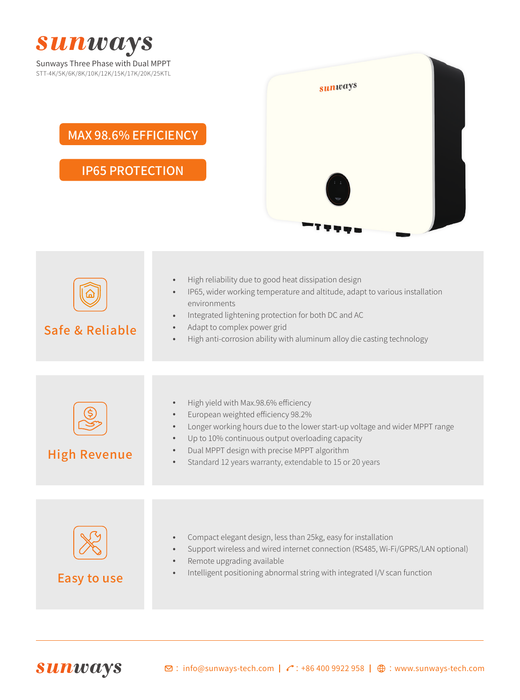

| Safe & Reliable     | High reliability due to good heat dissipation design<br>$\bullet$<br>IP65, wider working temperature and altitude, adapt to various installation<br>$\bullet$<br>environments<br>Integrated lightening protection for both DC and AC<br>$\bullet$<br>Adapt to complex power grid<br>$\bullet$<br>High anti-corrosion ability with aluminum alloy die casting technology<br>$\bullet$       |
|---------------------|--------------------------------------------------------------------------------------------------------------------------------------------------------------------------------------------------------------------------------------------------------------------------------------------------------------------------------------------------------------------------------------------|
|                     |                                                                                                                                                                                                                                                                                                                                                                                            |
| <b>High Revenue</b> | High yield with Max.98.6% efficiency<br>$\bullet$<br>European weighted efficiency 98.2%<br>$\bullet$<br>Longer working hours due to the lower start-up voltage and wider MPPT range<br>$\bullet$<br>Up to 10% continuous output overloading capacity<br>$\bullet$<br>Dual MPPT design with precise MPPT algorithm<br>Standard 12 years warranty, extendable to 15 or 20 years<br>$\bullet$ |
|                     |                                                                                                                                                                                                                                                                                                                                                                                            |
| Easy to use         | Compact elegant design, less than 25kg, easy for installation<br>$\bullet$<br>Support wireless and wired internet connection (RS485, Wi-Fi/GPRS/LAN optional)<br>$\bullet$<br>Remote upgrading available<br>$\bullet$<br>Intelligent positioning abnormal string with integrated I/V scan function                                                                                         |